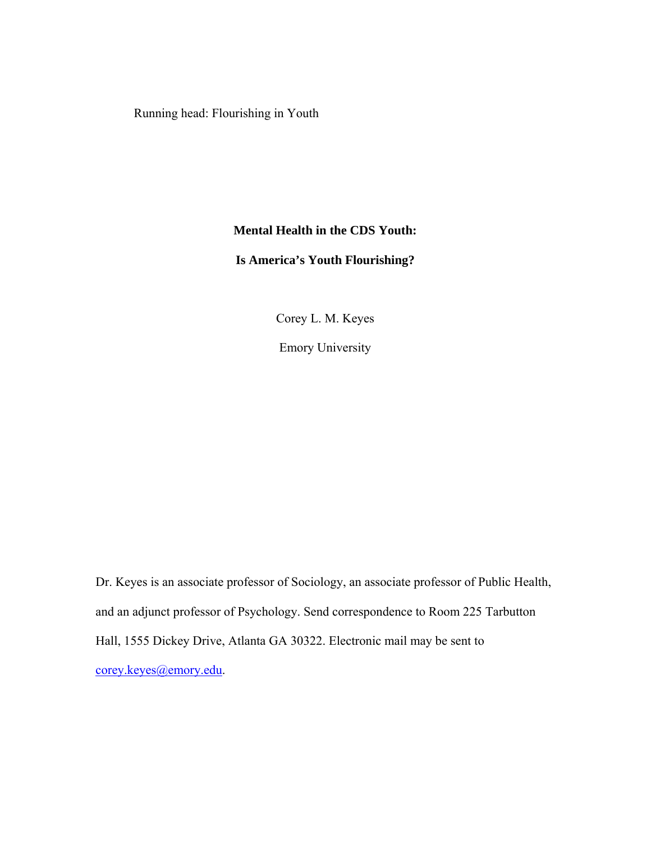Running head: Flourishing in Youth

# **Mental Health in the CDS Youth:**

# **Is America's Youth Flourishing?**

Corey L. M. Keyes

Emory University

Dr. Keyes is an associate professor of Sociology, an associate professor of Public Health, and an adjunct professor of Psychology. Send correspondence to Room 225 Tarbutton Hall, 1555 Dickey Drive, Atlanta GA 30322. Electronic mail may be sent to [corey.keyes@emory.edu.](mailto:corey.keyes@emory.edu)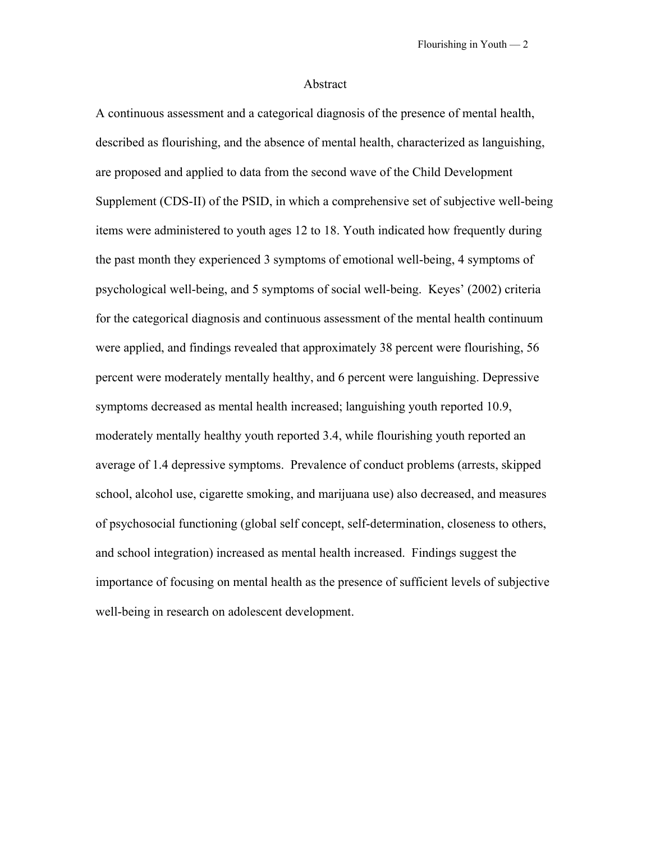### Abstract

A continuous assessment and a categorical diagnosis of the presence of mental health, described as flourishing, and the absence of mental health, characterized as languishing, are proposed and applied to data from the second wave of the Child Development Supplement (CDS-II) of the PSID, in which a comprehensive set of subjective well-being items were administered to youth ages 12 to 18. Youth indicated how frequently during the past month they experienced 3 symptoms of emotional well-being, 4 symptoms of psychological well-being, and 5 symptoms of social well-being. Keyes' (2002) criteria for the categorical diagnosis and continuous assessment of the mental health continuum were applied, and findings revealed that approximately 38 percent were flourishing, 56 percent were moderately mentally healthy, and 6 percent were languishing. Depressive symptoms decreased as mental health increased; languishing youth reported 10.9, moderately mentally healthy youth reported 3.4, while flourishing youth reported an average of 1.4 depressive symptoms. Prevalence of conduct problems (arrests, skipped school, alcohol use, cigarette smoking, and marijuana use) also decreased, and measures of psychosocial functioning (global self concept, self-determination, closeness to others, and school integration) increased as mental health increased. Findings suggest the importance of focusing on mental health as the presence of sufficient levels of subjective well-being in research on adolescent development.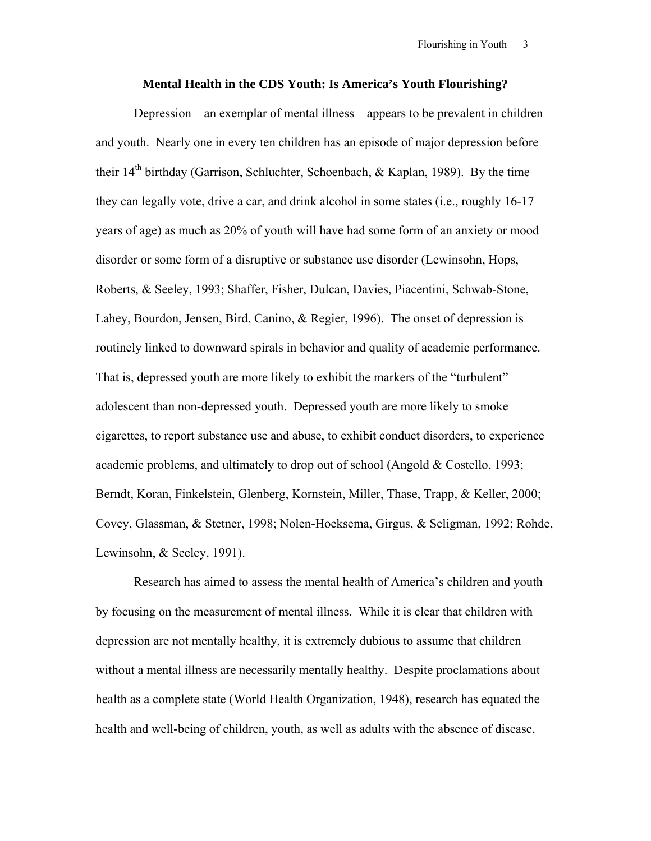#### **Mental Health in the CDS Youth: Is America's Youth Flourishing?**

Depression—an exemplar of mental illness—appears to be prevalent in children and youth. Nearly one in every ten children has an episode of major depression before their  $14<sup>th</sup>$  birthday (Garrison, Schluchter, Schoenbach, & Kaplan, 1989). By the time they can legally vote, drive a car, and drink alcohol in some states (i.e., roughly 16-17 years of age) as much as 20% of youth will have had some form of an anxiety or mood disorder or some form of a disruptive or substance use disorder (Lewinsohn, Hops, Roberts, & Seeley, 1993; Shaffer, Fisher, Dulcan, Davies, Piacentini, Schwab-Stone, Lahey, Bourdon, Jensen, Bird, Canino, & Regier, 1996). The onset of depression is routinely linked to downward spirals in behavior and quality of academic performance. That is, depressed youth are more likely to exhibit the markers of the "turbulent" adolescent than non-depressed youth. Depressed youth are more likely to smoke cigarettes, to report substance use and abuse, to exhibit conduct disorders, to experience academic problems, and ultimately to drop out of school (Angold & Costello, 1993; Berndt, Koran, Finkelstein, Glenberg, Kornstein, Miller, Thase, Trapp, & Keller, 2000; Covey, Glassman, & Stetner, 1998; Nolen-Hoeksema, Girgus, & Seligman, 1992; Rohde, Lewinsohn, & Seeley, 1991).

Research has aimed to assess the mental health of America's children and youth by focusing on the measurement of mental illness. While it is clear that children with depression are not mentally healthy, it is extremely dubious to assume that children without a mental illness are necessarily mentally healthy. Despite proclamations about health as a complete state (World Health Organization, 1948), research has equated the health and well-being of children, youth, as well as adults with the absence of disease,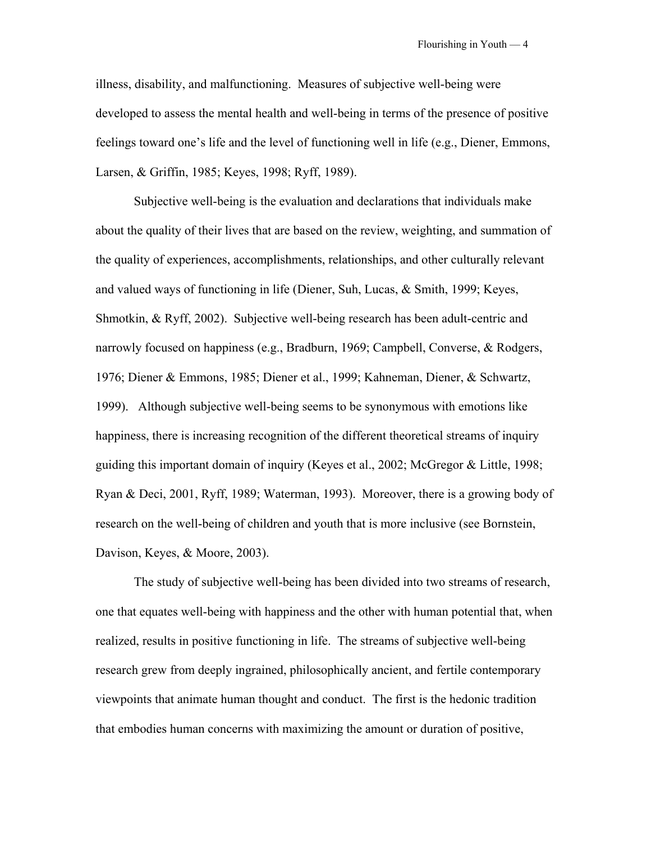illness, disability, and malfunctioning. Measures of subjective well-being were developed to assess the mental health and well-being in terms of the presence of positive feelings toward one's life and the level of functioning well in life (e.g., Diener, Emmons, Larsen, & Griffin, 1985; Keyes, 1998; Ryff, 1989).

Subjective well-being is the evaluation and declarations that individuals make about the quality of their lives that are based on the review, weighting, and summation of the quality of experiences, accomplishments, relationships, and other culturally relevant and valued ways of functioning in life (Diener, Suh, Lucas, & Smith, 1999; Keyes, Shmotkin, & Ryff, 2002). Subjective well-being research has been adult-centric and narrowly focused on happiness (e.g., Bradburn, 1969; Campbell, Converse, & Rodgers, 1976; Diener & Emmons, 1985; Diener et al., 1999; Kahneman, Diener, & Schwartz, 1999). Although subjective well-being seems to be synonymous with emotions like happiness, there is increasing recognition of the different theoretical streams of inquiry guiding this important domain of inquiry (Keyes et al., 2002; McGregor & Little, 1998; Ryan & Deci, 2001, Ryff, 1989; Waterman, 1993). Moreover, there is a growing body of research on the well-being of children and youth that is more inclusive (see Bornstein, Davison, Keyes, & Moore, 2003).

The study of subjective well-being has been divided into two streams of research, one that equates well-being with happiness and the other with human potential that, when realized, results in positive functioning in life. The streams of subjective well-being research grew from deeply ingrained, philosophically ancient, and fertile contemporary viewpoints that animate human thought and conduct. The first is the hedonic tradition that embodies human concerns with maximizing the amount or duration of positive,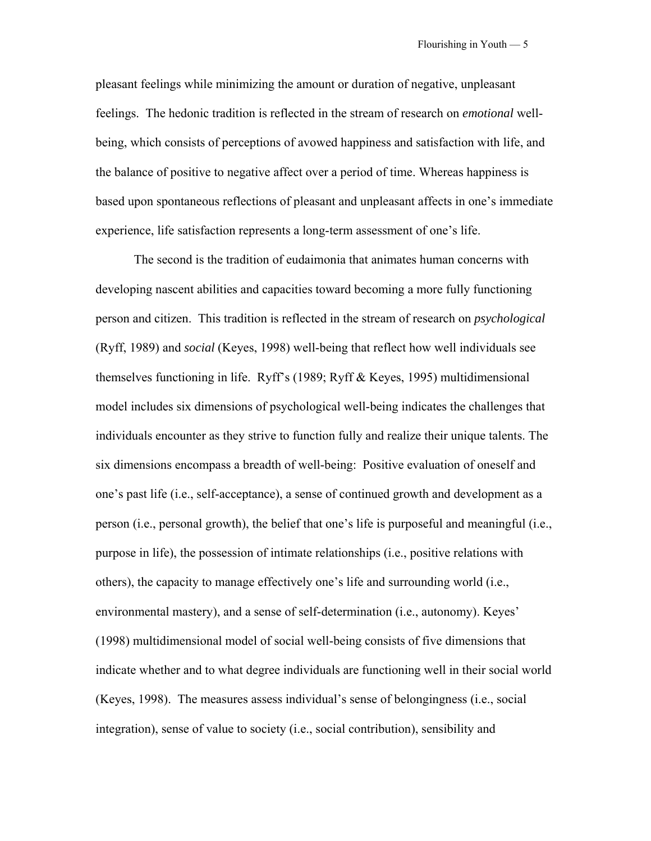pleasant feelings while minimizing the amount or duration of negative, unpleasant feelings. The hedonic tradition is reflected in the stream of research on *emotional* wellbeing, which consists of perceptions of avowed happiness and satisfaction with life, and the balance of positive to negative affect over a period of time. Whereas happiness is based upon spontaneous reflections of pleasant and unpleasant affects in one's immediate experience, life satisfaction represents a long-term assessment of one's life.

The second is the tradition of eudaimonia that animates human concerns with developing nascent abilities and capacities toward becoming a more fully functioning person and citizen. This tradition is reflected in the stream of research on *psychological* (Ryff, 1989) and *social* (Keyes, 1998) well-being that reflect how well individuals see themselves functioning in life. Ryff's (1989; Ryff & Keyes, 1995) multidimensional model includes six dimensions of psychological well-being indicates the challenges that individuals encounter as they strive to function fully and realize their unique talents. The six dimensions encompass a breadth of well-being: Positive evaluation of oneself and one's past life (i.e., self-acceptance), a sense of continued growth and development as a person (i.e., personal growth), the belief that one's life is purposeful and meaningful (i.e., purpose in life), the possession of intimate relationships (i.e., positive relations with others), the capacity to manage effectively one's life and surrounding world (i.e., environmental mastery), and a sense of self-determination (i.e., autonomy). Keyes' (1998) multidimensional model of social well-being consists of five dimensions that indicate whether and to what degree individuals are functioning well in their social world (Keyes, 1998). The measures assess individual's sense of belongingness (i.e., social integration), sense of value to society (i.e., social contribution), sensibility and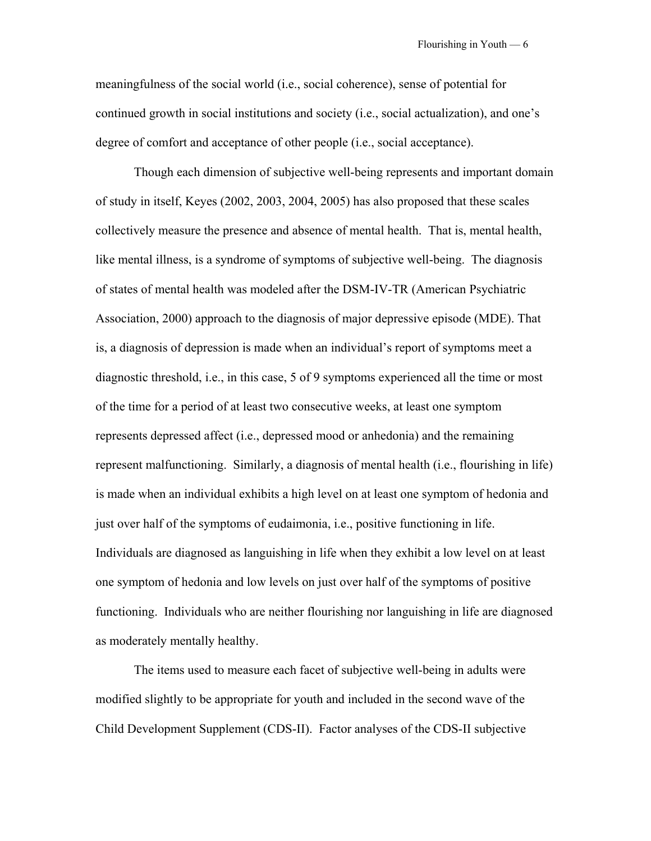meaningfulness of the social world (i.e., social coherence), sense of potential for continued growth in social institutions and society (i.e., social actualization), and one's degree of comfort and acceptance of other people (i.e., social acceptance).

Though each dimension of subjective well-being represents and important domain of study in itself, Keyes (2002, 2003, 2004, 2005) has also proposed that these scales collectively measure the presence and absence of mental health. That is, mental health, like mental illness, is a syndrome of symptoms of subjective well-being. The diagnosis of states of mental health was modeled after the DSM-IV-TR (American Psychiatric Association, 2000) approach to the diagnosis of major depressive episode (MDE). That is, a diagnosis of depression is made when an individual's report of symptoms meet a diagnostic threshold, i.e., in this case, 5 of 9 symptoms experienced all the time or most of the time for a period of at least two consecutive weeks, at least one symptom represents depressed affect (i.e., depressed mood or anhedonia) and the remaining represent malfunctioning. Similarly, a diagnosis of mental health (i.e., flourishing in life) is made when an individual exhibits a high level on at least one symptom of hedonia and just over half of the symptoms of eudaimonia, i.e., positive functioning in life. Individuals are diagnosed as languishing in life when they exhibit a low level on at least one symptom of hedonia and low levels on just over half of the symptoms of positive functioning. Individuals who are neither flourishing nor languishing in life are diagnosed as moderately mentally healthy.

The items used to measure each facet of subjective well-being in adults were modified slightly to be appropriate for youth and included in the second wave of the Child Development Supplement (CDS-II). Factor analyses of the CDS-II subjective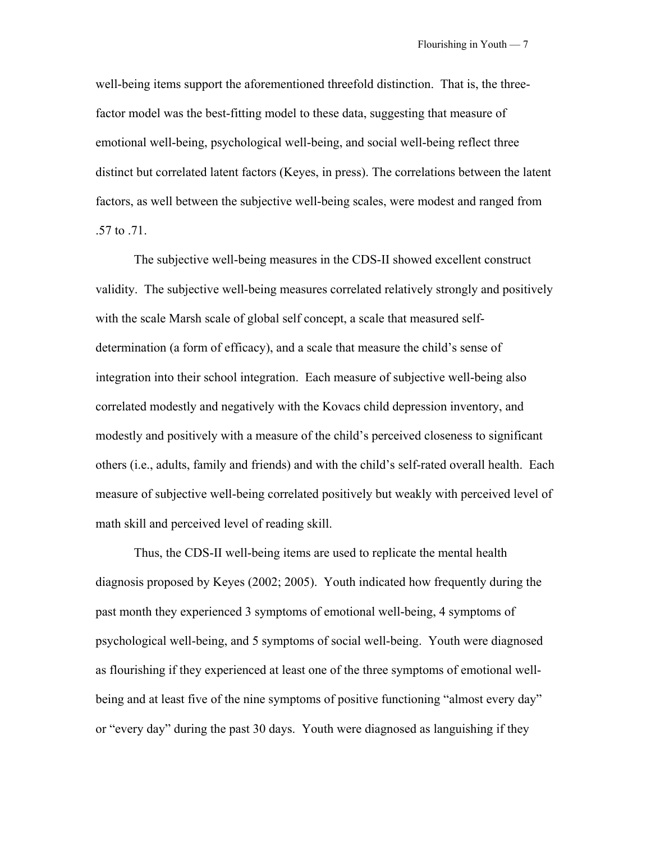well-being items support the aforementioned threefold distinction. That is, the threefactor model was the best-fitting model to these data, suggesting that measure of emotional well-being, psychological well-being, and social well-being reflect three distinct but correlated latent factors (Keyes, in press). The correlations between the latent factors, as well between the subjective well-being scales, were modest and ranged from .57 to .71.

The subjective well-being measures in the CDS-II showed excellent construct validity. The subjective well-being measures correlated relatively strongly and positively with the scale Marsh scale of global self concept, a scale that measured selfdetermination (a form of efficacy), and a scale that measure the child's sense of integration into their school integration. Each measure of subjective well-being also correlated modestly and negatively with the Kovacs child depression inventory, and modestly and positively with a measure of the child's perceived closeness to significant others (i.e., adults, family and friends) and with the child's self-rated overall health. Each measure of subjective well-being correlated positively but weakly with perceived level of math skill and perceived level of reading skill.

Thus, the CDS-II well-being items are used to replicate the mental health diagnosis proposed by Keyes (2002; 2005). Youth indicated how frequently during the past month they experienced 3 symptoms of emotional well-being, 4 symptoms of psychological well-being, and 5 symptoms of social well-being. Youth were diagnosed as flourishing if they experienced at least one of the three symptoms of emotional wellbeing and at least five of the nine symptoms of positive functioning "almost every day" or "every day" during the past 30 days. Youth were diagnosed as languishing if they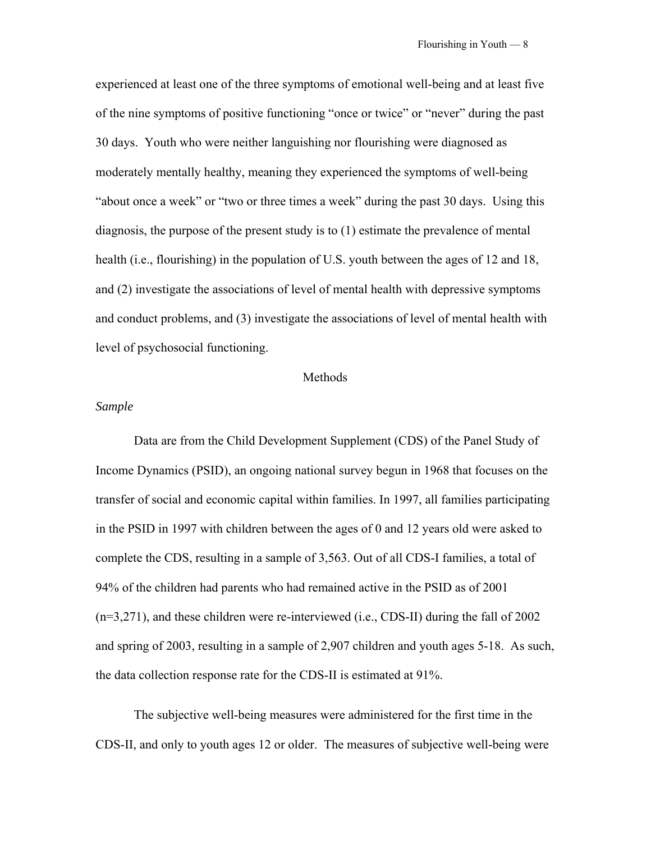experienced at least one of the three symptoms of emotional well-being and at least five of the nine symptoms of positive functioning "once or twice" or "never" during the past 30 days. Youth who were neither languishing nor flourishing were diagnosed as moderately mentally healthy, meaning they experienced the symptoms of well-being "about once a week" or "two or three times a week" during the past 30 days. Using this diagnosis, the purpose of the present study is to (1) estimate the prevalence of mental health (i.e., flourishing) in the population of U.S. youth between the ages of 12 and 18, and (2) investigate the associations of level of mental health with depressive symptoms and conduct problems, and (3) investigate the associations of level of mental health with level of psychosocial functioning.

### Methods

## *Sample*

Data are from the Child Development Supplement (CDS) of the Panel Study of Income Dynamics (PSID), an ongoing national survey begun in 1968 that focuses on the transfer of social and economic capital within families. In 1997, all families participating in the PSID in 1997 with children between the ages of 0 and 12 years old were asked to complete the CDS, resulting in a sample of 3,563. Out of all CDS-I families, a total of 94% of the children had parents who had remained active in the PSID as of 2001 (n=3,271), and these children were re-interviewed (i.e., CDS-II) during the fall of 2002 and spring of 2003, resulting in a sample of 2,907 children and youth ages 5-18. As such, the data collection response rate for the CDS-II is estimated at 91%.

The subjective well-being measures were administered for the first time in the CDS-II, and only to youth ages 12 or older. The measures of subjective well-being were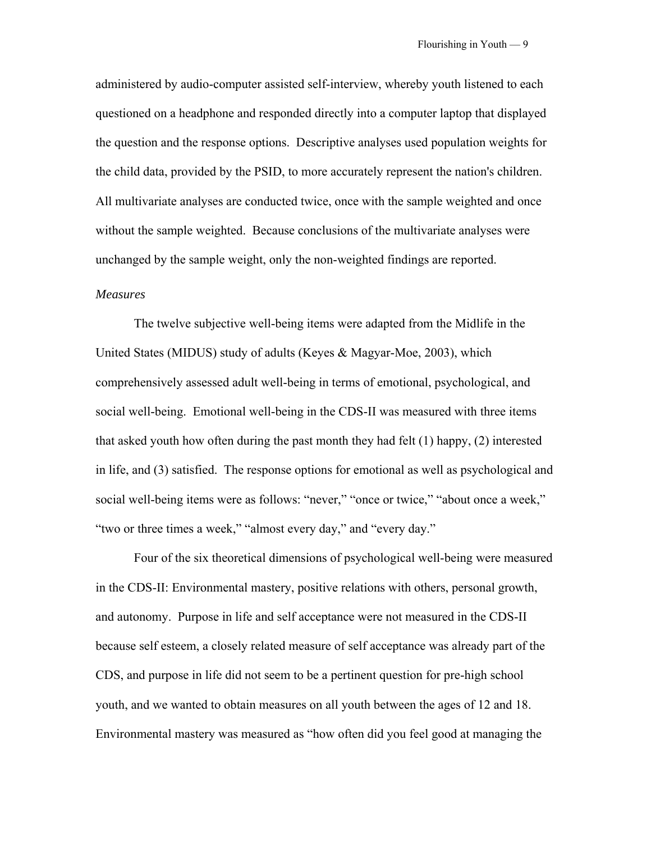administered by audio-computer assisted self-interview, whereby youth listened to each questioned on a headphone and responded directly into a computer laptop that displayed the question and the response options. Descriptive analyses used population weights for the child data, provided by the PSID, to more accurately represent the nation's children. All multivariate analyses are conducted twice, once with the sample weighted and once without the sample weighted. Because conclusions of the multivariate analyses were unchanged by the sample weight, only the non-weighted findings are reported.

## *Measures*

 The twelve subjective well-being items were adapted from the Midlife in the United States (MIDUS) study of adults (Keyes & Magyar-Moe, 2003), which comprehensively assessed adult well-being in terms of emotional, psychological, and social well-being. Emotional well-being in the CDS-II was measured with three items that asked youth how often during the past month they had felt  $(1)$  happy,  $(2)$  interested in life, and (3) satisfied. The response options for emotional as well as psychological and social well-being items were as follows: "never," "once or twice," "about once a week," "two or three times a week," "almost every day," and "every day."

Four of the six theoretical dimensions of psychological well-being were measured in the CDS-II: Environmental mastery, positive relations with others, personal growth, and autonomy. Purpose in life and self acceptance were not measured in the CDS-II because self esteem, a closely related measure of self acceptance was already part of the CDS, and purpose in life did not seem to be a pertinent question for pre-high school youth, and we wanted to obtain measures on all youth between the ages of 12 and 18. Environmental mastery was measured as "how often did you feel good at managing the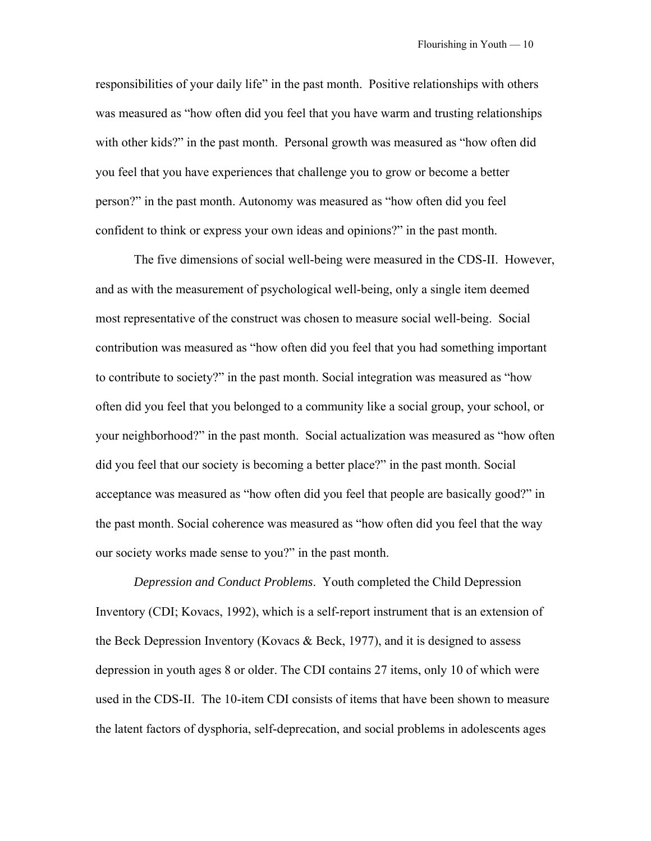responsibilities of your daily life" in the past month. Positive relationships with others was measured as "how often did you feel that you have warm and trusting relationships with other kids?" in the past month. Personal growth was measured as "how often did you feel that you have experiences that challenge you to grow or become a better person?" in the past month. Autonomy was measured as "how often did you feel confident to think or express your own ideas and opinions?" in the past month.

 The five dimensions of social well-being were measured in the CDS-II. However, and as with the measurement of psychological well-being, only a single item deemed most representative of the construct was chosen to measure social well-being. Social contribution was measured as "how often did you feel that you had something important to contribute to society?" in the past month. Social integration was measured as "how often did you feel that you belonged to a community like a social group, your school, or your neighborhood?" in the past month. Social actualization was measured as "how often did you feel that our society is becoming a better place?" in the past month. Social acceptance was measured as "how often did you feel that people are basically good?" in the past month. Social coherence was measured as "how often did you feel that the way our society works made sense to you?" in the past month.

*Depression and Conduct Problems*. Youth completed the Child Depression Inventory (CDI; Kovacs, 1992), which is a self-report instrument that is an extension of the Beck Depression Inventory (Kovacs  $\&$  Beck, 1977), and it is designed to assess depression in youth ages 8 or older. The CDI contains 27 items, only 10 of which were used in the CDS-II. The 10-item CDI consists of items that have been shown to measure the latent factors of dysphoria, self-deprecation, and social problems in adolescents ages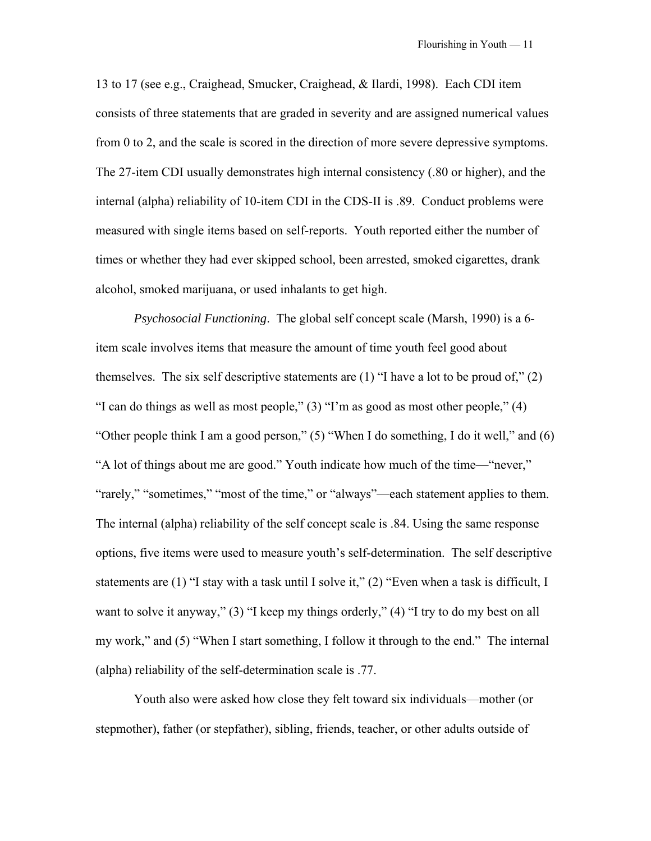13 to 17 (see e.g., Craighead, Smucker, Craighead, & Ilardi, 1998). Each CDI item consists of three statements that are graded in severity and are assigned numerical values from 0 to 2, and the scale is scored in the direction of more severe depressive symptoms. The 27-item CDI usually demonstrates high internal consistency (.80 or higher), and the internal (alpha) reliability of 10-item CDI in the CDS-II is .89. Conduct problems were measured with single items based on self-reports. Youth reported either the number of times or whether they had ever skipped school, been arrested, smoked cigarettes, drank alcohol, smoked marijuana, or used inhalants to get high.

*Psychosocial Functioning*. The global self concept scale (Marsh, 1990) is a 6 item scale involves items that measure the amount of time youth feel good about themselves. The six self descriptive statements are  $(1)$  "I have a lot to be proud of,"  $(2)$ "I can do things as well as most people," (3) "I'm as good as most other people," (4) "Other people think I am a good person," (5) "When I do something, I do it well," and (6) "A lot of things about me are good." Youth indicate how much of the time—"never," "rarely," "sometimes," "most of the time," or "always"—each statement applies to them. The internal (alpha) reliability of the self concept scale is .84. Using the same response options, five items were used to measure youth's self-determination. The self descriptive statements are (1) "I stay with a task until I solve it," (2) "Even when a task is difficult, I want to solve it anyway," (3) "I keep my things orderly," (4) "I try to do my best on all my work," and (5) "When I start something, I follow it through to the end." The internal (alpha) reliability of the self-determination scale is .77.

Youth also were asked how close they felt toward six individuals—mother (or stepmother), father (or stepfather), sibling, friends, teacher, or other adults outside of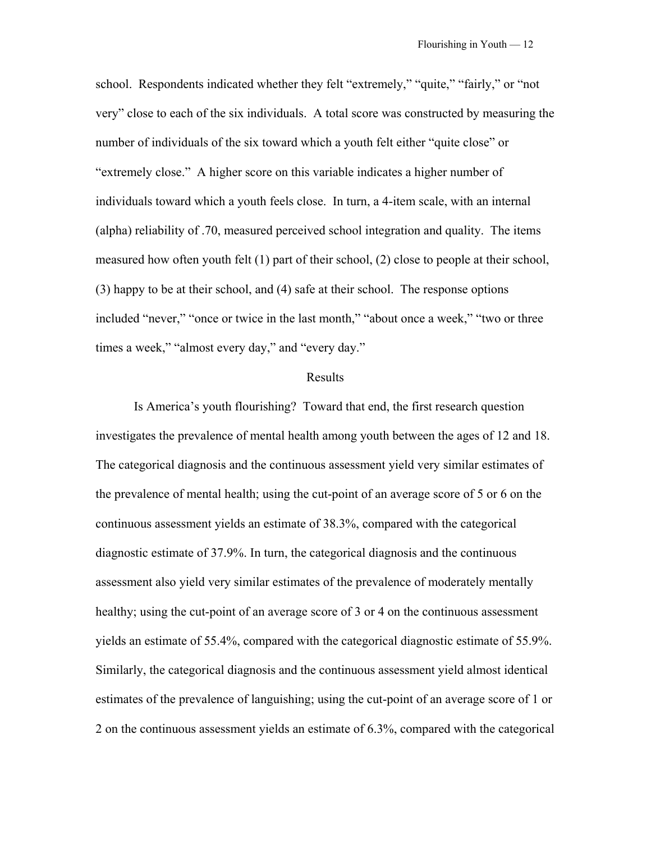school. Respondents indicated whether they felt "extremely," "quite," "fairly," or "not very" close to each of the six individuals. A total score was constructed by measuring the number of individuals of the six toward which a youth felt either "quite close" or "extremely close." A higher score on this variable indicates a higher number of individuals toward which a youth feels close. In turn, a 4-item scale, with an internal (alpha) reliability of .70, measured perceived school integration and quality. The items measured how often youth felt (1) part of their school, (2) close to people at their school, (3) happy to be at their school, and (4) safe at their school. The response options included "never," "once or twice in the last month," "about once a week," "two or three times a week," "almost every day," and "every day."

#### Results

 Is America's youth flourishing? Toward that end, the first research question investigates the prevalence of mental health among youth between the ages of 12 and 18. The categorical diagnosis and the continuous assessment yield very similar estimates of the prevalence of mental health; using the cut-point of an average score of 5 or 6 on the continuous assessment yields an estimate of 38.3%, compared with the categorical diagnostic estimate of 37.9%. In turn, the categorical diagnosis and the continuous assessment also yield very similar estimates of the prevalence of moderately mentally healthy; using the cut-point of an average score of 3 or 4 on the continuous assessment yields an estimate of 55.4%, compared with the categorical diagnostic estimate of 55.9%. Similarly, the categorical diagnosis and the continuous assessment yield almost identical estimates of the prevalence of languishing; using the cut-point of an average score of 1 or 2 on the continuous assessment yields an estimate of 6.3%, compared with the categorical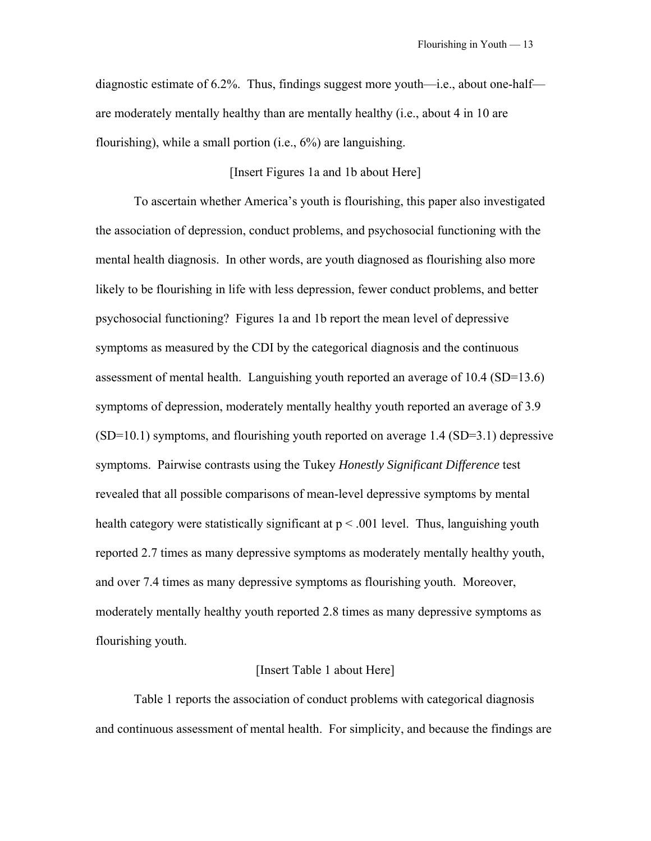diagnostic estimate of 6.2%. Thus, findings suggest more youth—i.e., about one-half are moderately mentally healthy than are mentally healthy (i.e., about 4 in 10 are flourishing), while a small portion (i.e., 6%) are languishing.

# [Insert Figures 1a and 1b about Here]

 To ascertain whether America's youth is flourishing, this paper also investigated the association of depression, conduct problems, and psychosocial functioning with the mental health diagnosis. In other words, are youth diagnosed as flourishing also more likely to be flourishing in life with less depression, fewer conduct problems, and better psychosocial functioning? Figures 1a and 1b report the mean level of depressive symptoms as measured by the CDI by the categorical diagnosis and the continuous assessment of mental health. Languishing youth reported an average of 10.4 (SD=13.6) symptoms of depression, moderately mentally healthy youth reported an average of 3.9 (SD=10.1) symptoms, and flourishing youth reported on average 1.4 (SD=3.1) depressive symptoms. Pairwise contrasts using the Tukey *Honestly Significant Difference* test revealed that all possible comparisons of mean-level depressive symptoms by mental health category were statistically significant at  $p < .001$  level. Thus, languishing youth reported 2.7 times as many depressive symptoms as moderately mentally healthy youth, and over 7.4 times as many depressive symptoms as flourishing youth. Moreover, moderately mentally healthy youth reported 2.8 times as many depressive symptoms as flourishing youth.

# [Insert Table 1 about Here]

 Table 1 reports the association of conduct problems with categorical diagnosis and continuous assessment of mental health. For simplicity, and because the findings are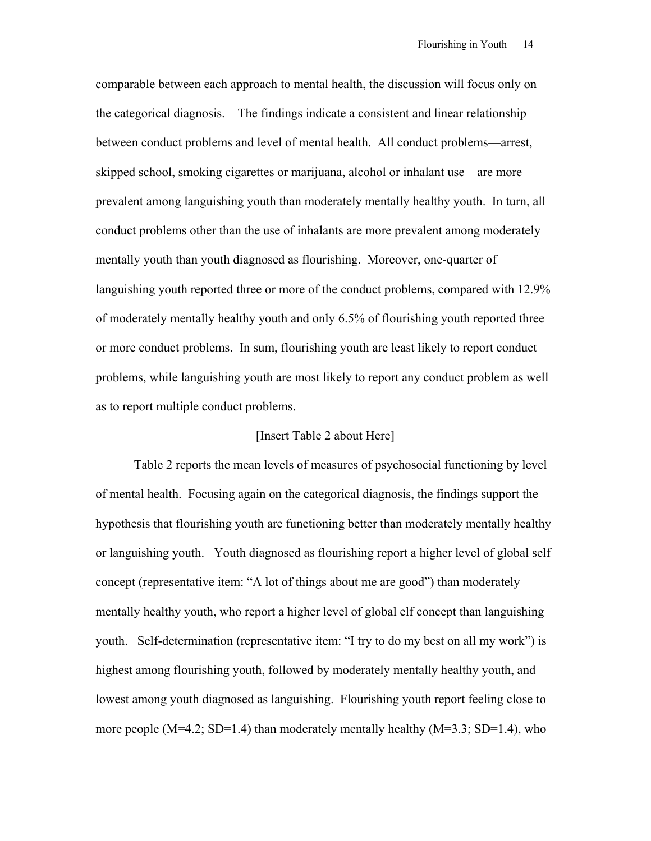comparable between each approach to mental health, the discussion will focus only on the categorical diagnosis. The findings indicate a consistent and linear relationship between conduct problems and level of mental health. All conduct problems—arrest, skipped school, smoking cigarettes or marijuana, alcohol or inhalant use—are more prevalent among languishing youth than moderately mentally healthy youth. In turn, all conduct problems other than the use of inhalants are more prevalent among moderately mentally youth than youth diagnosed as flourishing. Moreover, one-quarter of languishing youth reported three or more of the conduct problems, compared with 12.9% of moderately mentally healthy youth and only 6.5% of flourishing youth reported three or more conduct problems. In sum, flourishing youth are least likely to report conduct problems, while languishing youth are most likely to report any conduct problem as well as to report multiple conduct problems.

### [Insert Table 2 about Here]

 Table 2 reports the mean levels of measures of psychosocial functioning by level of mental health. Focusing again on the categorical diagnosis, the findings support the hypothesis that flourishing youth are functioning better than moderately mentally healthy or languishing youth. Youth diagnosed as flourishing report a higher level of global self concept (representative item: "A lot of things about me are good") than moderately mentally healthy youth, who report a higher level of global elf concept than languishing youth. Self-determination (representative item: "I try to do my best on all my work") is highest among flourishing youth, followed by moderately mentally healthy youth, and lowest among youth diagnosed as languishing. Flourishing youth report feeling close to more people  $(M=4.2; SD=1.4)$  than moderately mentally healthy  $(M=3.3; SD=1.4)$ , who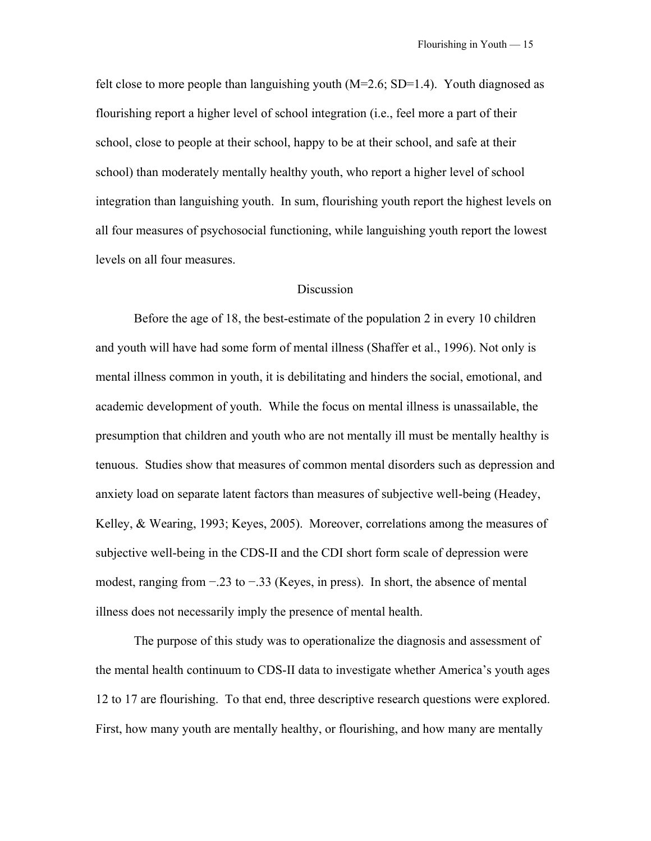felt close to more people than languishing youth  $(M=2.6; SD=1.4)$ . Youth diagnosed as flourishing report a higher level of school integration (i.e., feel more a part of their school, close to people at their school, happy to be at their school, and safe at their school) than moderately mentally healthy youth, who report a higher level of school integration than languishing youth. In sum, flourishing youth report the highest levels on all four measures of psychosocial functioning, while languishing youth report the lowest levels on all four measures.

## **Discussion**

Before the age of 18, the best-estimate of the population 2 in every 10 children and youth will have had some form of mental illness (Shaffer et al., 1996). Not only is mental illness common in youth, it is debilitating and hinders the social, emotional, and academic development of youth. While the focus on mental illness is unassailable, the presumption that children and youth who are not mentally ill must be mentally healthy is tenuous. Studies show that measures of common mental disorders such as depression and anxiety load on separate latent factors than measures of subjective well-being (Headey, Kelley, & Wearing, 1993; Keyes, 2005). Moreover, correlations among the measures of subjective well-being in the CDS-II and the CDI short form scale of depression were modest, ranging from −.23 to −.33 (Keyes, in press). In short, the absence of mental illness does not necessarily imply the presence of mental health.

The purpose of this study was to operationalize the diagnosis and assessment of the mental health continuum to CDS-II data to investigate whether America's youth ages 12 to 17 are flourishing. To that end, three descriptive research questions were explored. First, how many youth are mentally healthy, or flourishing, and how many are mentally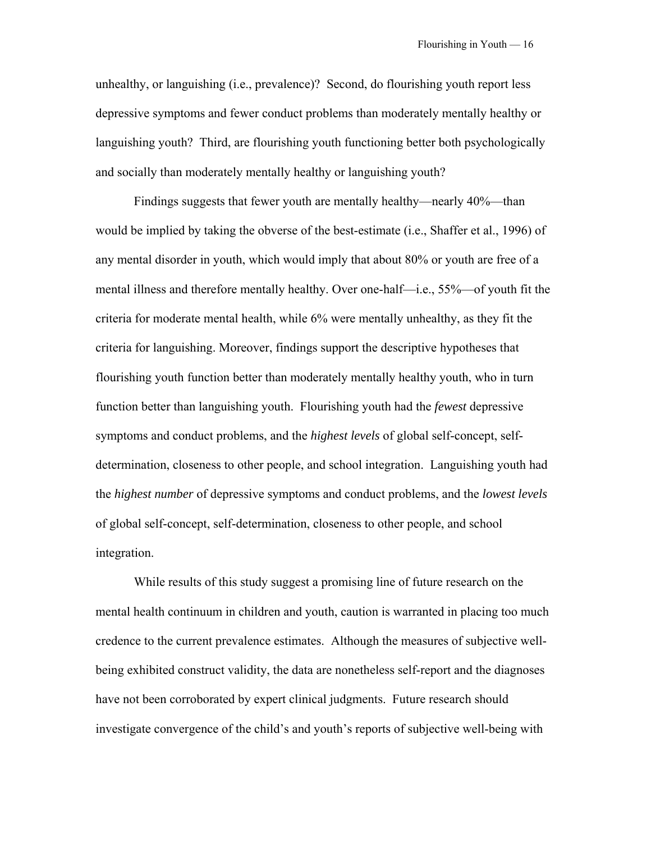unhealthy, or languishing (i.e., prevalence)? Second, do flourishing youth report less depressive symptoms and fewer conduct problems than moderately mentally healthy or languishing youth? Third, are flourishing youth functioning better both psychologically and socially than moderately mentally healthy or languishing youth?

Findings suggests that fewer youth are mentally healthy—nearly 40%—than would be implied by taking the obverse of the best-estimate (i.e., Shaffer et al., 1996) of any mental disorder in youth, which would imply that about 80% or youth are free of a mental illness and therefore mentally healthy. Over one-half—i.e., 55%—of youth fit the criteria for moderate mental health, while 6% were mentally unhealthy, as they fit the criteria for languishing. Moreover, findings support the descriptive hypotheses that flourishing youth function better than moderately mentally healthy youth, who in turn function better than languishing youth. Flourishing youth had the *fewest* depressive symptoms and conduct problems, and the *highest levels* of global self-concept, selfdetermination, closeness to other people, and school integration. Languishing youth had the *highest number* of depressive symptoms and conduct problems, and the *lowest levels* of global self-concept, self-determination, closeness to other people, and school integration.

While results of this study suggest a promising line of future research on the mental health continuum in children and youth, caution is warranted in placing too much credence to the current prevalence estimates. Although the measures of subjective wellbeing exhibited construct validity, the data are nonetheless self-report and the diagnoses have not been corroborated by expert clinical judgments. Future research should investigate convergence of the child's and youth's reports of subjective well-being with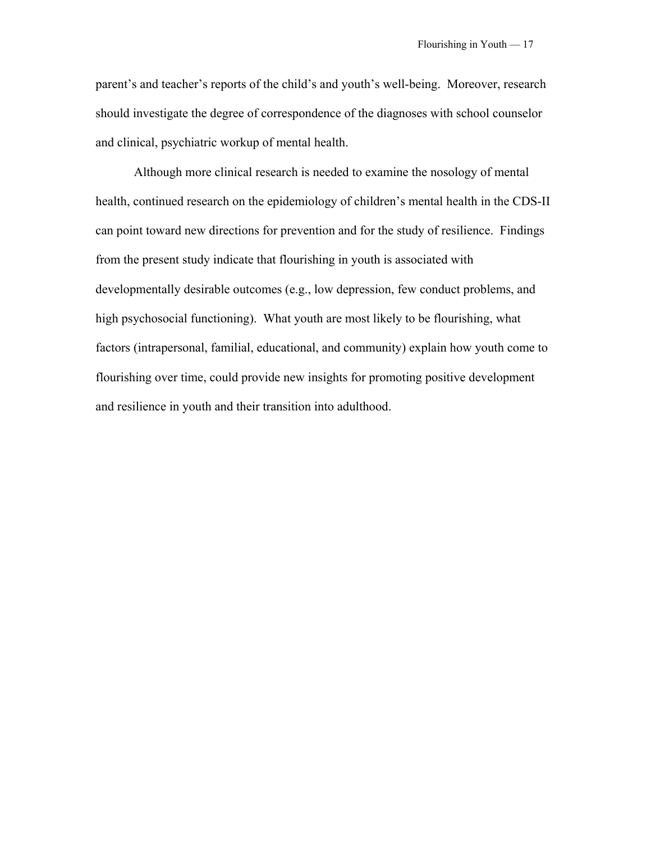parent's and teacher's reports of the child's and youth's well-being. Moreover, research should investigate the degree of correspondence of the diagnoses with school counselor and clinical, psychiatric workup of mental health.

Although more clinical research is needed to examine the nosology of mental health, continued research on the epidemiology of children's mental health in the CDS-II can point toward new directions for prevention and for the study of resilience. Findings from the present study indicate that flourishing in youth is associated with developmentally desirable outcomes (e.g., low depression, few conduct problems, and high psychosocial functioning). What youth are most likely to be flourishing, what factors (intrapersonal, familial, educational, and community) explain how youth come to flourishing over time, could provide new insights for promoting positive development and resilience in youth and their transition into adulthood.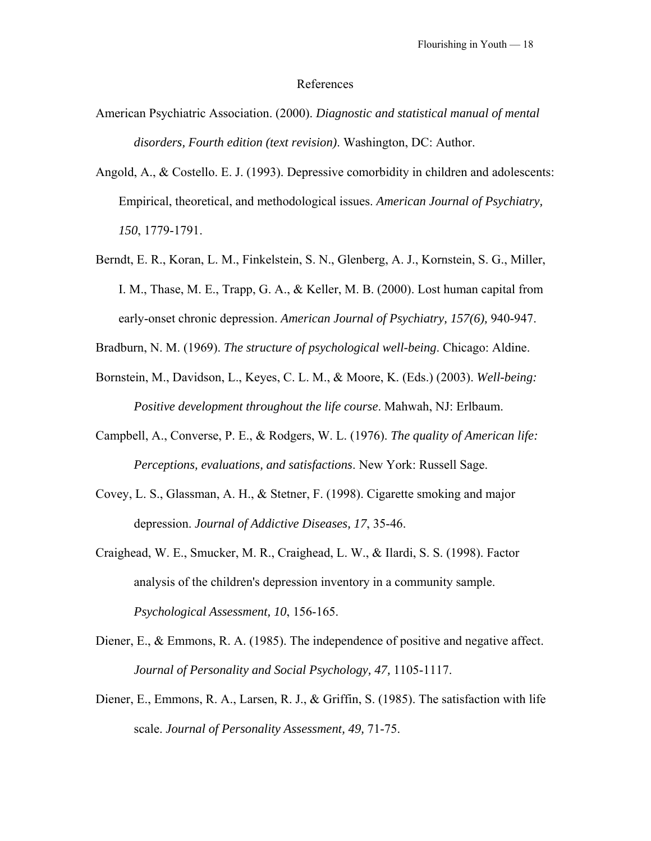#### References

- American Psychiatric Association. (2000). *Diagnostic and statistical manual of mental disorders, Fourth edition (text revision)*. Washington, DC: Author.
- Angold, A., & Costello. E. J. (1993). Depressive comorbidity in children and adolescents: Empirical, theoretical, and methodological issues. *American Journal of Psychiatry, 150*, 1779-1791.
- Berndt, E. R., Koran, L. M., Finkelstein, S. N., Glenberg, A. J., Kornstein, S. G., Miller, I. M., Thase, M. E., Trapp, G. A., & Keller, M. B. (2000). Lost human capital from early-onset chronic depression. *American Journal of Psychiatry, 157(6),* 940-947.
- Bradburn, N. M. (1969). *The structure of psychological well-being*. Chicago: Aldine.
- Bornstein, M., Davidson, L., Keyes, C. L. M., & Moore, K. (Eds.) (2003). *Well-being: Positive development throughout the life course*. Mahwah, NJ: Erlbaum.
- Campbell, A., Converse, P. E., & Rodgers, W. L. (1976). *The quality of American life: Perceptions, evaluations, and satisfactions*. New York: Russell Sage.
- Covey, L. S., Glassman, A. H., & Stetner, F. (1998). Cigarette smoking and major depression. *Journal of Addictive Diseases, 17*, 35-46.
- Craighead, W. E., Smucker, M. R., Craighead, L. W., & Ilardi, S. S. (1998). Factor analysis of the children's depression inventory in a community sample. *Psychological Assessment, 10*, 156-165.
- Diener, E., & Emmons, R. A. (1985). The independence of positive and negative affect. *Journal of Personality and Social Psychology, 47,* 1105-1117.
- Diener, E., Emmons, R. A., Larsen, R. J., & Griffin, S. (1985). The satisfaction with life scale. *Journal of Personality Assessment, 49,* 71-75.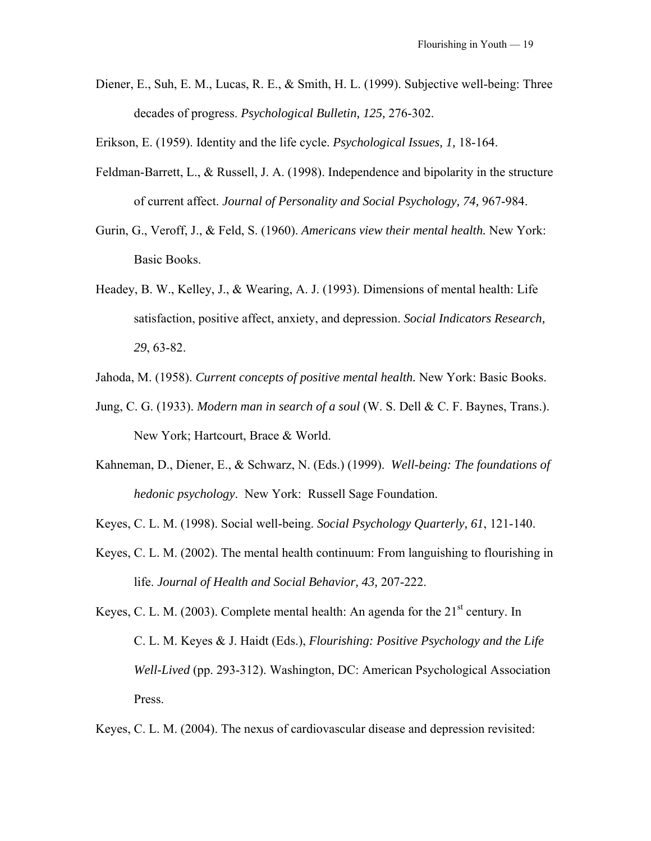Diener, E., Suh, E. M., Lucas, R. E., & Smith, H. L. (1999). Subjective well-being: Three decades of progress. *Psychological Bulletin, 125,* 276-302.

Erikson, E. (1959). Identity and the life cycle. *Psychological Issues, 1,* 18-164.

- Feldman-Barrett, L., & Russell, J. A. (1998). Independence and bipolarity in the structure of current affect. *Journal of Personality and Social Psychology, 74,* 967-984.
- Gurin, G., Veroff, J., & Feld, S. (1960). *Americans view their mental health.* New York: Basic Books.
- Headey, B. W., Kelley, J., & Wearing, A. J. (1993). Dimensions of mental health: Life satisfaction, positive affect, anxiety, and depression. *Social Indicators Research, 29*, 63-82.
- Jahoda, M. (1958). *Current concepts of positive mental health.* New York: Basic Books.
- Jung, C. G. (1933). *Modern man in search of a soul* (W. S. Dell & C. F. Baynes, Trans.). New York; Hartcourt, Brace & World.
- Kahneman, D., Diener, E., & Schwarz, N. (Eds.) (1999). *Well-being: The foundations of hedonic psychology*. New York: Russell Sage Foundation.

Keyes, C. L. M. (1998). Social well-being. *Social Psychology Quarterly, 61*, 121-140.

Keyes, C. L. M. (2002). The mental health continuum: From languishing to flourishing in life. *Journal of Health and Social Behavior, 43,* 207-222.

Keyes, C. L. M. (2003). Complete mental health: An agenda for the  $21<sup>st</sup>$  century. In C. L. M. Keyes & J. Haidt (Eds.), *Flourishing: Positive Psychology and the Life Well-Lived* (pp. 293-312). Washington, DC: American Psychological Association Press.

Keyes, C. L. M. (2004). The nexus of cardiovascular disease and depression revisited: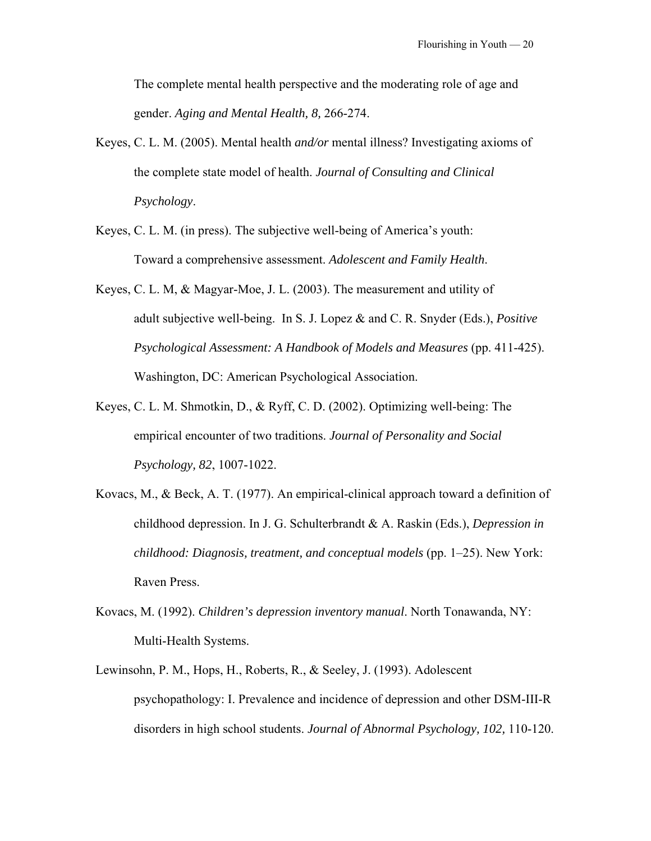The complete mental health perspective and the moderating role of age and gender. *Aging and Mental Health, 8,* 266-274.

- Keyes, C. L. M. (2005). Mental health *and/or* mental illness? Investigating axioms of the complete state model of health. *Journal of Consulting and Clinical Psychology*.
- Keyes, C. L. M. (in press). The subjective well-being of America's youth: Toward a comprehensive assessment. *Adolescent and Family Health*.
- Keyes, C. L. M, & Magyar-Moe, J. L. (2003). The measurement and utility of adult subjective well-being. In S. J. Lopez & and C. R. Snyder (Eds.), *Positive Psychological Assessment: A Handbook of Models and Measures* (pp. 411-425). Washington, DC: American Psychological Association.
- Keyes, C. L. M. Shmotkin, D., & Ryff, C. D. (2002). Optimizing well-being: The empirical encounter of two traditions. *Journal of Personality and Social Psychology, 82*, 1007-1022.
- Kovacs, M., & Beck, A. T. (1977). An empirical-clinical approach toward a definition of childhood depression. In J. G. Schulterbrandt & A. Raskin (Eds.), *Depression in childhood: Diagnosis, treatment, and conceptual models* (pp. 1–25). New York: Raven Press.
- Kovacs, M. (1992). *Children's depression inventory manual*. North Tonawanda, NY: Multi-Health Systems.
- Lewinsohn, P. M., Hops, H., Roberts, R., & Seeley, J. (1993). Adolescent psychopathology: I. Prevalence and incidence of depression and other DSM-III-R disorders in high school students. *Journal of Abnormal Psychology, 102,* 110-120.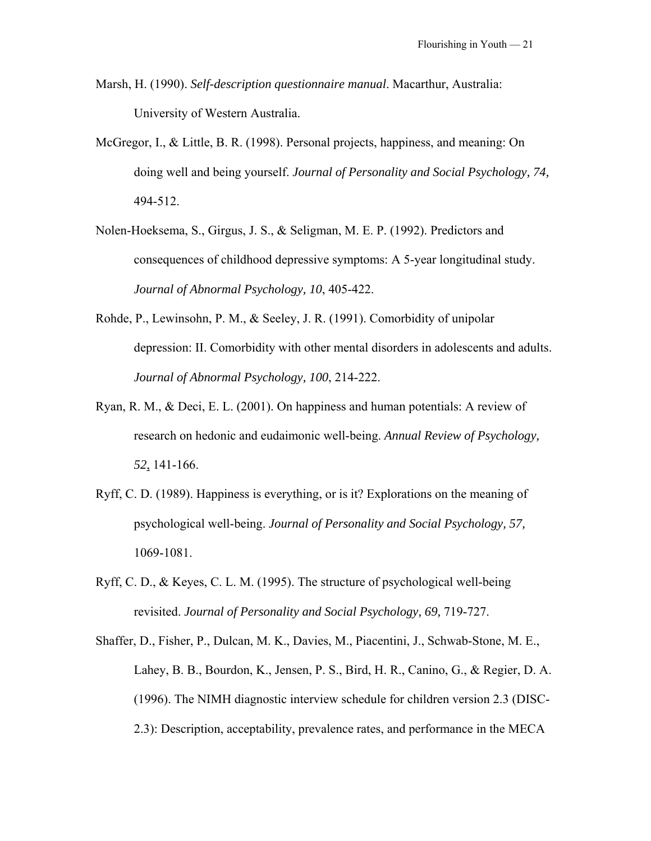- Marsh, H. (1990). *Self-description questionnaire manual*. Macarthur, Australia: University of Western Australia.
- McGregor, I., & Little, B. R. (1998). Personal projects, happiness, and meaning: On doing well and being yourself. *Journal of Personality and Social Psychology, 74,* 494-512.
- Nolen-Hoeksema, S., Girgus, J. S., & Seligman, M. E. P. (1992). Predictors and consequences of childhood depressive symptoms: A 5-year longitudinal study. *Journal of Abnormal Psychology, 10*, 405-422.
- Rohde, P., Lewinsohn, P. M., & Seeley, J. R. (1991). Comorbidity of unipolar depression: II. Comorbidity with other mental disorders in adolescents and adults. *Journal of Abnormal Psychology, 100*, 214-222.
- Ryan, R. M., & Deci, E. L. (2001). On happiness and human potentials: A review of research on hedonic and eudaimonic well-being. *Annual Review of Psychology, 52*, 141-166.
- Ryff, C. D. (1989). Happiness is everything, or is it? Explorations on the meaning of psychological well-being. *Journal of Personality and Social Psychology, 57,*  1069-1081.
- Ryff, C. D., & Keyes, C. L. M. (1995). The structure of psychological well-being revisited. *Journal of Personality and Social Psychology, 69,* 719-727.
- Shaffer, D., Fisher, P., Dulcan, M. K., Davies, M., Piacentini, J., Schwab-Stone, M. E., Lahey, B. B., Bourdon, K., Jensen, P. S., Bird, H. R., Canino, G., & Regier, D. A. (1996). The NIMH diagnostic interview schedule for children version 2.3 (DISC-2.3): Description, acceptability, prevalence rates, and performance in the MECA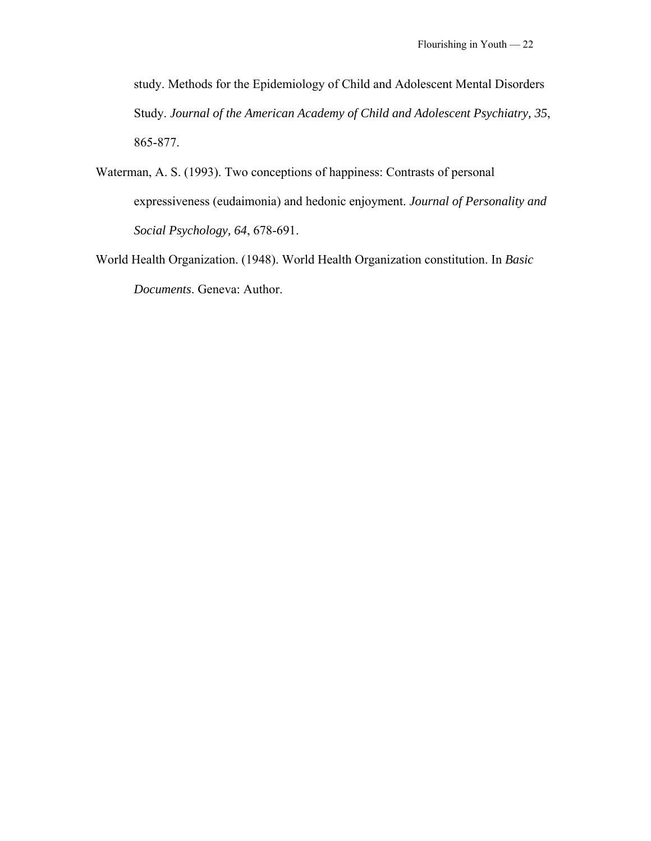study. Methods for the Epidemiology of Child and Adolescent Mental Disorders Study. *Journal of the American Academy of Child and Adolescent Psychiatry, 35*, 865-877.

- Waterman, A. S. (1993). Two conceptions of happiness: Contrasts of personal expressiveness (eudaimonia) and hedonic enjoyment. *Journal of Personality and Social Psychology, 64*, 678-691.
- World Health Organization. (1948). World Health Organization constitution. In *Basic Documents*. Geneva: Author.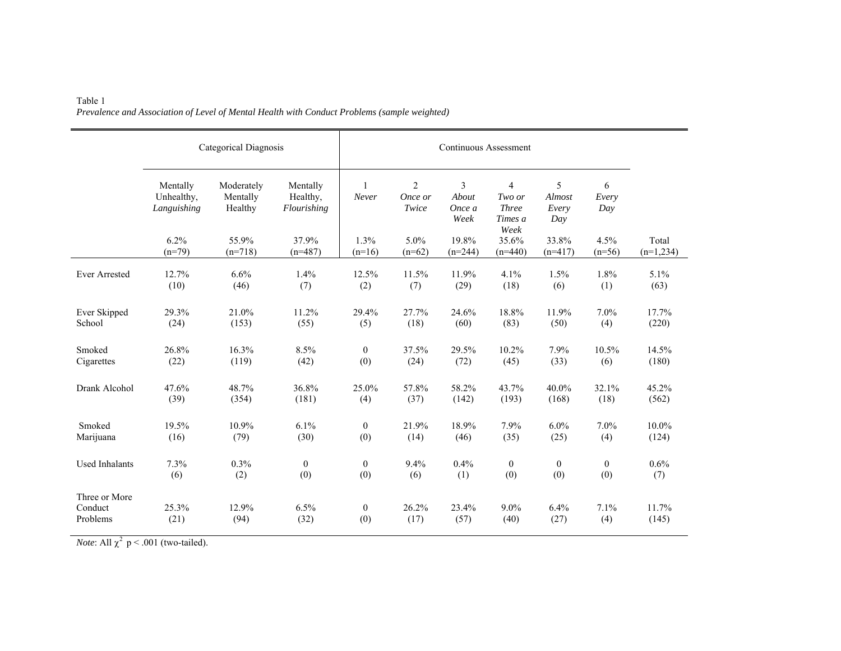|                                      | Categorical Diagnosis                 | Continuous Assessment             |                                     |                         |                       |                              |                                                     |                             |                   |                      |
|--------------------------------------|---------------------------------------|-----------------------------------|-------------------------------------|-------------------------|-----------------------|------------------------------|-----------------------------------------------------|-----------------------------|-------------------|----------------------|
|                                      | Mentally<br>Unhealthy,<br>Languishing | Moderately<br>Mentally<br>Healthy | Mentally<br>Healthy,<br>Flourishing | $\overline{1}$<br>Never | 2<br>Once or<br>Twice | 3<br>About<br>Once a<br>Week | $\overline{4}$<br>Two or<br><b>Three</b><br>Times a | 5<br>Almost<br>Every<br>Day | 6<br>Every<br>Day |                      |
|                                      | 6.2%<br>$(n=79)$                      | 55.9%<br>$(n=718)$                | 37.9%<br>$(n=487)$                  | 1.3%<br>$(n=16)$        | 5.0%<br>$(n=62)$      | 19.8%<br>$(n=244)$           | Week<br>35.6%<br>$(n=440)$                          | 33.8%<br>$(n=417)$          | 4.5%<br>$(n=56)$  | Total<br>$(n=1,234)$ |
| <b>Ever Arrested</b>                 | 12.7%                                 | 6.6%                              | 1.4%                                | 12.5%                   | 11.5%                 | 11.9%                        | 4.1%                                                | 1.5%                        | 1.8%              | 5.1%                 |
|                                      | (10)                                  | (46)                              | (7)                                 | (2)                     | (7)                   | (29)                         | (18)                                                | (6)                         | (1)               | (63)                 |
| Ever Skipped                         | 29.3%                                 | 21.0%                             | 11.2%                               | 29.4%                   | 27.7%                 | 24.6%                        | 18.8%                                               | 11.9%                       | 7.0%              | 17.7%                |
| School                               | (24)                                  | (153)                             | (55)                                | (5)                     | (18)                  | (60)                         | (83)                                                | (50)                        | (4)               | (220)                |
| Smoked                               | 26.8%                                 | 16.3%                             | 8.5%                                | $\mathbf{0}$            | 37.5%                 | 29.5%                        | 10.2%                                               | 7.9%                        | 10.5%             | 14.5%                |
| Cigarettes                           | (22)                                  | (119)                             | (42)                                | (0)                     | (24)                  | (72)                         | (45)                                                | (33)                        | (6)               | (180)                |
| Drank Alcohol                        | 47.6%                                 | 48.7%                             | 36.8%                               | 25.0%                   | 57.8%                 | 58.2%                        | 43.7%                                               | 40.0%                       | 32.1%             | 45.2%                |
|                                      | (39)                                  | (354)                             | (181)                               | (4)                     | (37)                  | (142)                        | (193)                                               | (168)                       | (18)              | (562)                |
| Smoked                               | 19.5%                                 | 10.9%                             | 6.1%                                | $\mathbf{0}$            | 21.9%                 | 18.9%                        | 7.9%                                                | 6.0%                        | 7.0%              | 10.0%                |
| Marijuana                            | (16)                                  | (79)                              | (30)                                | (0)                     | (14)                  | (46)                         | (35)                                                | (25)                        | (4)               | (124)                |
| <b>Used Inhalants</b>                | 7.3%                                  | $0.3\%$                           | $\boldsymbol{0}$                    | $\theta$                | 9.4%                  | 0.4%                         | $\overline{0}$                                      | $\overline{0}$              | $\overline{0}$    | 0.6%                 |
|                                      | (6)                                   | (2)                               | (0)                                 | (0)                     | (6)                   | (1)                          | (0)                                                 | (0)                         | (0)               | (7)                  |
| Three or More<br>Conduct<br>Problems | 25.3%<br>(21)                         | 12.9%<br>(94)                     | 6.5%<br>(32)                        | $\overline{0}$<br>(0)   | 26.2%<br>(17)         | 23.4%<br>(57)                | $9.0\%$<br>(40)                                     | 6.4%<br>(27)                | 7.1%<br>(4)       | 11.7%<br>(145)       |

#### Table 1 *Prevalence and Association of Level of Mental Health with Conduct Problems (sample weighted)*

*Note*: All  $\chi^2$  p < .001 (two-tailed).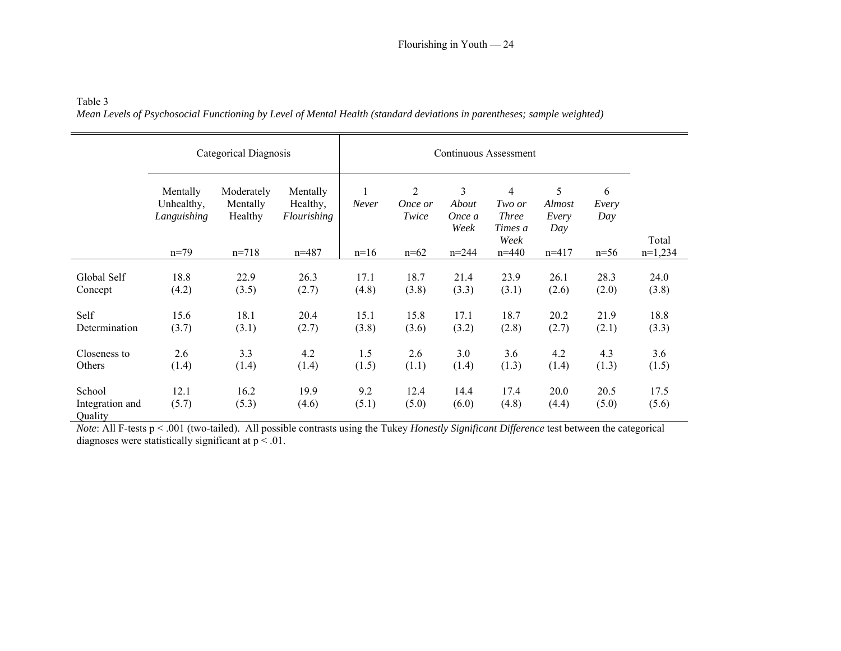| Table 3                                                                                                                 |
|-------------------------------------------------------------------------------------------------------------------------|
| Mean Levels of Psychosocial Functioning by Level of Mental Health (standard deviations in parentheses; sample weighted) |

|                            | Categorical Diagnosis                 |                                   |                                     |               |                                    |                              |                                                             |                                    |                   |               |
|----------------------------|---------------------------------------|-----------------------------------|-------------------------------------|---------------|------------------------------------|------------------------------|-------------------------------------------------------------|------------------------------------|-------------------|---------------|
|                            | Mentally<br>Unhealthy,<br>Languishing | Moderately<br>Mentally<br>Healthy | Mentally<br>Healthy,<br>Flourishing | Never         | $\overline{2}$<br>Once or<br>Twice | 3<br>About<br>Once a<br>Week | $\overline{4}$<br>Two or<br><b>Three</b><br>Times a<br>Week | 5<br><i>Almost</i><br>Every<br>Day | 6<br>Every<br>Day | Total         |
|                            | $n=79$                                | $n=718$                           | $n = 487$                           | $n=16$        | $n=62$                             | $n = 244$                    | $n = 440$                                                   | $n=417$                            | $n=56$            | $n=1,234$     |
| Global Self<br>Concept     | 18.8<br>(4.2)                         | 22.9<br>(3.5)                     | 26.3<br>(2.7)                       | 17.1<br>(4.8) | 18.7<br>(3.8)                      | 21.4<br>(3.3)                | 23.9<br>(3.1)                                               | 26.1<br>(2.6)                      | 28.3<br>(2.0)     | 24.0<br>(3.8) |
|                            |                                       |                                   |                                     |               |                                    |                              |                                                             |                                    |                   |               |
| Self                       | 15.6                                  | 18.1                              | 20.4                                | 15.1          | 15.8                               | 17.1                         | 18.7                                                        | 20.2                               | 21.9              | 18.8          |
| Determination              | (3.7)                                 | (3.1)                             | (2.7)                               | (3.8)         | (3.6)                              | (3.2)                        | (2.8)                                                       | (2.7)                              | (2.1)             | (3.3)         |
| Closeness to<br>Others     | 2.6<br>(1.4)                          | 3.3<br>(1.4)                      | 4.2<br>(1.4)                        | 1.5<br>(1.5)  | 2.6<br>(1.1)                       | 3.0<br>(1.4)                 | 3.6<br>(1.3)                                                | 4.2<br>(1.4)                       | 4.3<br>(1.3)      | 3.6<br>(1.5)  |
| School                     | 12.1                                  | 16.2                              | 19.9                                | 9.2           | 12.4                               | 14.4                         | 17.4                                                        | 20.0                               | 20.5              | 17.5          |
| Integration and<br>Quality | (5.7)                                 | (5.3)                             | (4.6)                               | (5.1)         | (5.0)                              | (6.0)                        | (4.8)                                                       | (4.4)                              | (5.0)             | (5.6)         |

*Note*: All F-tests p < .001 (two-tailed). All possible contrasts using the Tukey *Honestly Significant Difference* test between the categorical diagnoses were statistically significant at  $p < 0.01$ .